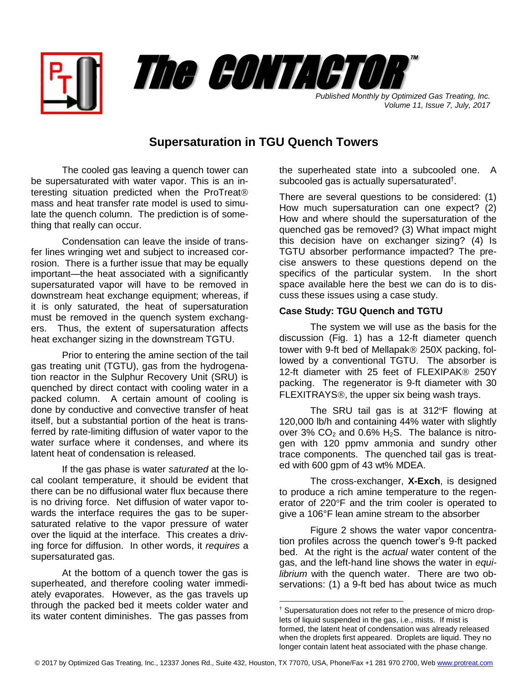



*Volume 11, Issue 7, July, 2017*

## **Supersaturation in TGU Quench Towers**

The cooled gas leaving a quench tower can be supersaturated with water vapor. This is an interesting situation predicted when the ProTreat mass and heat transfer rate model is used to simulate the quench column. The prediction is of something that really can occur.

Condensation can leave the inside of transfer lines wringing wet and subject to increased corrosion. There is a further issue that may be equally important—the heat associated with a significantly supersaturated vapor will have to be removed in downstream heat exchange equipment; whereas, if it is only saturated, the heat of supersaturation must be removed in the quench system exchangers. Thus, the extent of supersaturation affects heat exchanger sizing in the downstream TGTU.

Prior to entering the amine section of the tail gas treating unit (TGTU), gas from the hydrogenation reactor in the Sulphur Recovery Unit (SRU) is quenched by direct contact with cooling water in a packed column. A certain amount of cooling is done by conductive and convective transfer of heat itself, but a substantial portion of the heat is transferred by rate-limiting diffusion of water vapor to the water surface where it condenses, and where its latent heat of condensation is released.

If the gas phase is water *saturated* at the local coolant temperature, it should be evident that there can be no diffusional water flux because there is no driving force. Net diffusion of water vapor towards the interface requires the gas to be supersaturated relative to the vapor pressure of water over the liquid at the interface. This creates a driving force for diffusion. In other words, it *requires* a supersaturated gas.

At the bottom of a quench tower the gas is superheated, and therefore cooling water immediately evaporates. However, as the gas travels up through the packed bed it meets colder water and its water content diminishes. The gas passes from

the superheated state into a subcooled one. A subcooled gas is actually supersaturated<sup>†</sup>.

There are several questions to be considered: (1) How much supersaturation can one expect? (2) How and where should the supersaturation of the quenched gas be removed? (3) What impact might this decision have on exchanger sizing? (4) Is TGTU absorber performance impacted? The precise answers to these questions depend on the specifics of the particular system. In the short space available here the best we can do is to discuss these issues using a case study.

## **Case Study: TGU Quench and TGTU**

The system we will use as the basis for the discussion (Fig. 1) has a 12-ft diameter quench tower with 9-ft bed of Mellapak $\otimes$  250X packing, followed by a conventional TGTU. The absorber is 12-ft diameter with 25 feet of FLEXIPAK® 250Y packing. The regenerator is 9-ft diameter with 30 FLEXITRAYS<sup>®</sup>, the upper six being wash trays.

The SRU tail gas is at 312ºF flowing at 120,000 lb/h and containing 44% water with slightly over 3%  $CO<sub>2</sub>$  and 0.6% H<sub>2</sub>S. The balance is nitrogen with 120 ppmv ammonia and sundry other trace components. The quenched tail gas is treated with 600 gpm of 43 wt% MDEA.

The cross-exchanger, **X-Exch**, is designed to produce a rich amine temperature to the regenerator of 220°F and the trim cooler is operated to give a 106°F lean amine stream to the absorber

Figure 2 shows the water vapor concentration profiles across the quench tower's 9-ft packed bed. At the right is the *actual* water content of the gas, and the left-hand line shows the water in *equilibrium* with the quench water. There are two observations: (1) a 9-ft bed has about twice as much

 $\overline{a}$ 

Supersaturation does not refer to the presence of micro droplets of liquid suspended in the gas, i.e., mists. If mist is formed, the latent heat of condensation was already released when the droplets first appeared. Droplets are liquid. They no longer contain latent heat associated with the phase change.